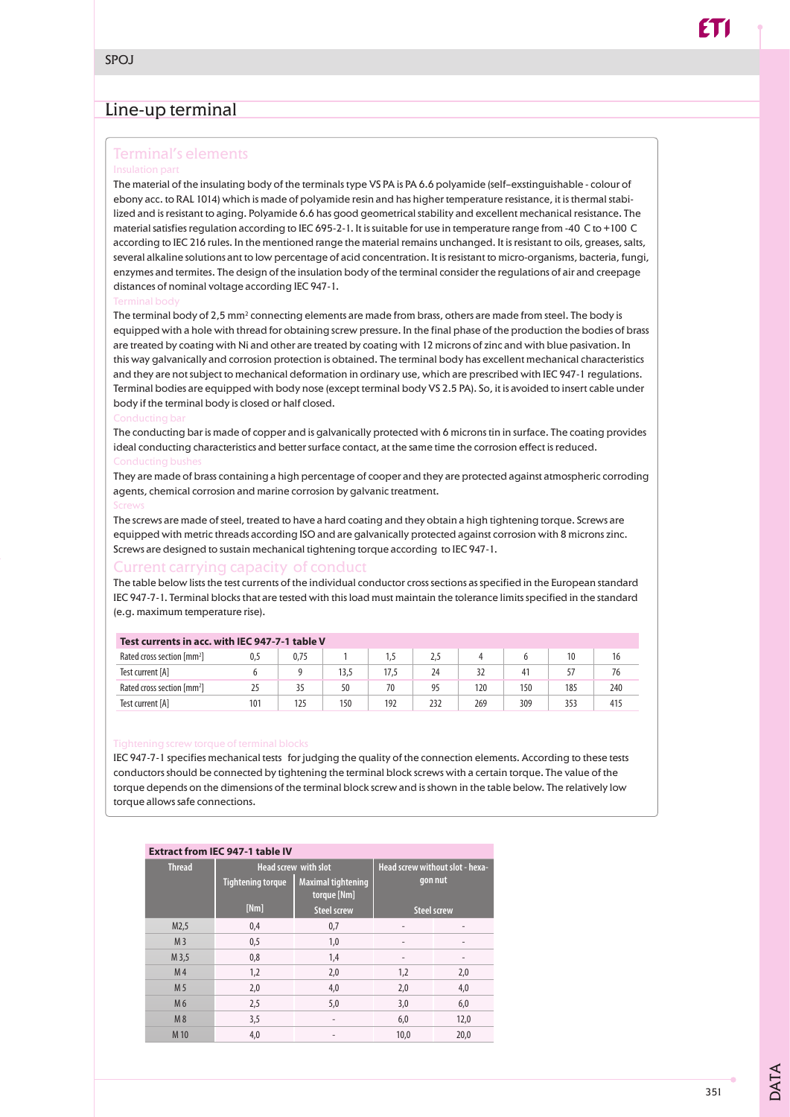# Line-up terminal

### Terminal's elements

The material of the insulating body of the terminals type VS PA is PA 6.6 polyamide (self–exstinguishable - colour of ebony acc. to RAL 1014) which is made of polyamide resin and has higher temperature resistance, it is thermal stabilized and is resistant to aging. Polyamide 6.6 has good geometrical stability and excellent mechanical resistance. The material satisfies regulation according to IEC 695-2-1. It is suitable for use in temperature range from -40 C to +100 C according to IEC 216 rules. In the mentioned range the material remains unchanged. It is resistant to oils, greases, salts, several alkaline solutions ant to low percentage of acid concentration. It is resistant to micro-organisms, bacteria, fungi, enzymes and termites. The design of the insulation body of the terminal consider the regulations of air and creepage distances of nominal voltage according IEC 947-1.

The terminal body of 2,5 mm<sup>2</sup> connecting elements are made from brass, others are made from steel. The body is equipped with a hole with thread for obtaining screw pressure. In the final phase of the production the bodies of brass are treated by coating with Ni and other are treated by coating with 12 microns of zinc and with blue pasivation. In this way galvanically and corrosion protection is obtained. The terminal body has excellent mechanical characteristics and they are not subject to mechanical deformation in ordinary use, which are prescribed with IEC 947-1 regulations. Terminal bodies are equipped with body nose (except terminal body VS 2.5 PA). So, it is avoided to insert cable under body if the terminal body is closed or half closed.

The conducting bar is made of copper and is galvanically protected with 6 microns tin in surface. The coating provides ideal conducting characteristics and better surface contact, at the same time the corrosion effect is reduced.

They are made of brass containing a high percentage of cooper and they are protected against atmospheric corroding agents, chemical corrosion and marine corrosion by galvanic treatment.

The screws are made of steel, treated to have a hard coating and they obtain a high tightening torque. Screws are equipped with metric threads according ISO and are galvanically protected against corrosion with 8 microns zinc. Screws are designed to sustain mechanical tightening torque according to IEC 947-1.

### Current carrying capacity of conduct

The table below lists the test currents of the individual conductor cross sections as specified in the European standard IEC 947-7-1. Terminal blocks that are tested with this load must maintain the tolerance limits specified in the standard (e.g. maximum temperature rise).

| Test currents in acc. with IEC 947-7-1 table V |     |      |      |      |     |     |     |     |     |
|------------------------------------------------|-----|------|------|------|-----|-----|-----|-----|-----|
| Rated cross section [mm <sup>2</sup> ]         | 0.5 | 0.75 |      | 1.5  | 2.5 |     |     |     |     |
| Test current [A]                               |     |      | 13.5 | 17.5 | 24  |     | 41  |     | 76  |
| Rated cross section [mm <sup>2</sup> ]         |     | 35   | 50   | 70   | 95  | 120 | 150 | 185 | 240 |
| Test current [A]                               | 101 | 125  | 150  | 192  | 232 | 269 | 309 | 353 | 415 |

IEC 947-7-1 specifies mechanical tests for judging the quality of the connection elements. According to these tests conductors should be connected by tightening the terminal block screws with a certain torque. The value of the torque depends on the dimensions of the terminal block screw and is shown in the table below. The relatively low torque allows safe connections.

### **Extract from IEC 947-1 table IV**

| <b>Thread</b>  | <b>Head screw with slot</b> |                                          | Head screw without slot - hexa- |      |  |
|----------------|-----------------------------|------------------------------------------|---------------------------------|------|--|
|                | <b>Tightening torque</b>    | <b>Maximal tightening</b><br>torque [Nm] | gon nut                         |      |  |
|                | [Nm]                        | <b>Steel screw</b>                       | <b>Steel screw</b>              |      |  |
| M2,5           | 0,4                         | 0,7                                      |                                 |      |  |
| M <sub>3</sub> | 0,5                         | 1,0                                      |                                 |      |  |
| M 3,5          | 0,8                         | 1,4                                      |                                 |      |  |
| M <sub>4</sub> | 1,2                         | 2,0                                      | 1,2                             | 2,0  |  |
| M <sub>5</sub> | 2,0                         | 4,0                                      | 2,0                             | 4,0  |  |
| M <sub>6</sub> | 2,5                         | 5,0                                      | 3,0                             | 6,0  |  |
| M8             | 3,5                         | $\qquad \qquad -$                        | 6,0                             | 12,0 |  |
| M 10           | 4,0                         |                                          | 10,0                            | 20,0 |  |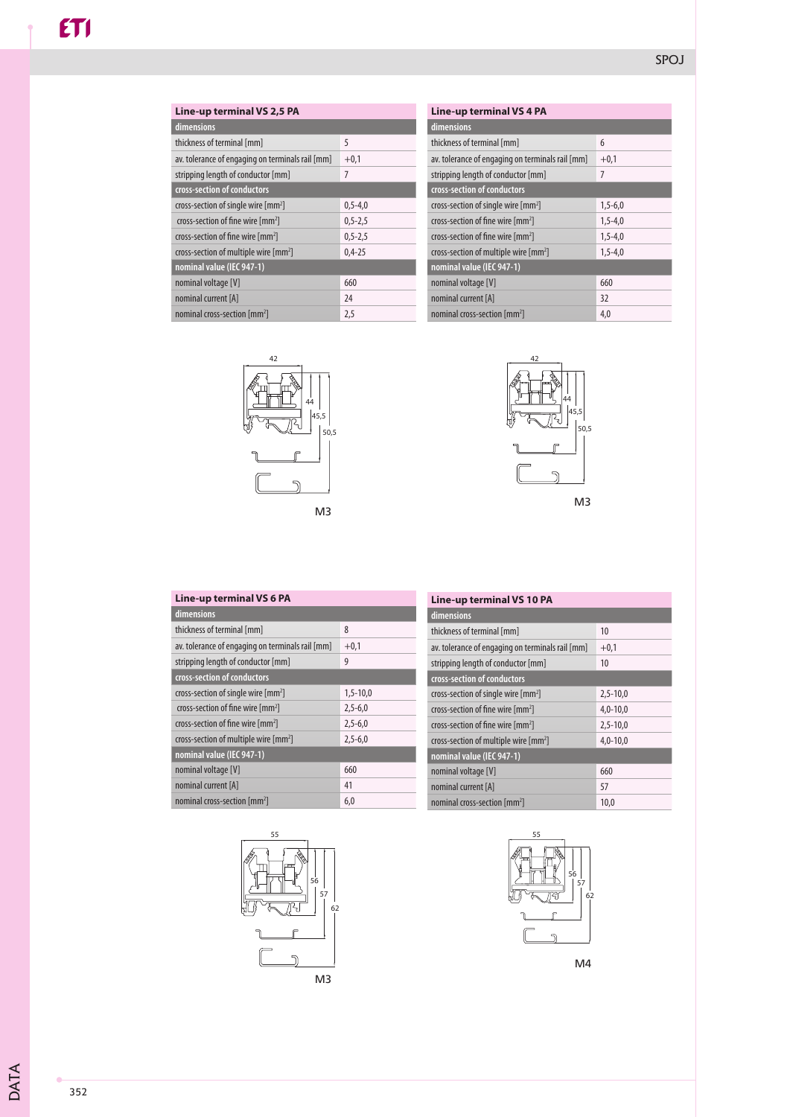| Line-up terminal VS 2,5 PA                        |               |  |
|---------------------------------------------------|---------------|--|
| dimensions                                        |               |  |
| thickness of terminal [mm]                        | 5             |  |
| av. tolerance of engaging on terminals rail [mm]  | $+0,1$        |  |
| stripping length of conductor [mm]                | 7             |  |
| cross-section of conductors                       |               |  |
| cross-section of single wire [mm <sup>2</sup> ]   | $0,5-4,0$     |  |
| cross-section of fine wire $\text{[mm]}$          | $0, 5 - 2, 5$ |  |
| cross-section of fine wire [mm <sup>2</sup> ]     | $0, 5 - 2, 5$ |  |
| cross-section of multiple wire [mm <sup>2</sup> ] | $0,4-25$      |  |
| nominal value (IEC 947-1)                         |               |  |
| nominal voltage [V]                               | 660           |  |
| nominal current [A]                               | 24            |  |
| nominal cross-section [mm <sup>2</sup> ]          | 2,5           |  |

| <b>Line-up terminal VS 4 PA</b>                     |           |  |
|-----------------------------------------------------|-----------|--|
| dimensions                                          |           |  |
| thickness of terminal [mm]                          | 6         |  |
| av. tolerance of engaging on terminals rail [mm]    | $+0,1$    |  |
| stripping length of conductor [mm]                  | 7         |  |
| cross-section of conductors                         |           |  |
| cross-section of single wire [mm <sup>2</sup> ]     | $1,5-6,0$ |  |
| cross-section of fine wire $\text{[mm]}$            | $1,5-4,0$ |  |
| cross-section of fine wire $\text{[mm]}$            | $1,5-4,0$ |  |
| cross-section of multiple wire $\lceil mm^2 \rceil$ | $1,5-4,0$ |  |
| nominal value (IEC 947-1)                           |           |  |
| nominal voltage [V]                                 | 660       |  |
| nominal current [A]                                 | 32        |  |
| nominal cross-section [mm <sup>2</sup> ]            | 4,0       |  |





| Line-up terminal VS 6 PA                          |            |  |
|---------------------------------------------------|------------|--|
| dimensions                                        |            |  |
| thickness of terminal [mm]                        | 8          |  |
| av. tolerance of engaging on terminals rail [mm]  | $+0,1$     |  |
| stripping length of conductor [mm]                | 9          |  |
| cross-section of conductors                       |            |  |
| cross-section of single wire $\lceil mm^2 \rceil$ | $1,5-10,0$ |  |
| cross-section of fine wire [mm <sup>2</sup> ]     | $2,5-6,0$  |  |
| cross-section of fine wire [mm <sup>2</sup> ]     | $2,5-6,0$  |  |
| cross-section of multiple wire [mm <sup>2</sup> ] | $2,5-6,0$  |  |
| nominal value (IEC 947-1)                         |            |  |
| nominal voltage [V]                               | 660        |  |
| nominal current [A]                               | 41         |  |
| nominal cross-section [mm <sup>2</sup> ]          | 6,0        |  |



## **Line-up terminal VS 10 PA**

| dimensions                                        |              |
|---------------------------------------------------|--------------|
| thickness of terminal [mm]                        | 10           |
| av. tolerance of engaging on terminals rail [mm]  | $+0.1$       |
| stripping length of conductor [mm]                | 10           |
| cross-section of conductors                       |              |
| cross-section of single wire [mm <sup>2</sup> ]   | $2,5 - 10,0$ |
| cross-section of fine wire $\text{[mm]}$          | $4,0-10,0$   |
| cross-section of fine wire $\text{[mm]}$          | $2,5 - 10,0$ |
| cross-section of multiple wire [mm <sup>2</sup> ] | $4,0-10,0$   |
| nominal value (IEC 947-1)                         |              |
| nominal voltage [V]                               | 660          |
| nominal current [A]                               | 57           |
| nominal cross-section [mm <sup>2</sup> ]          | 10,0         |



M4

DATA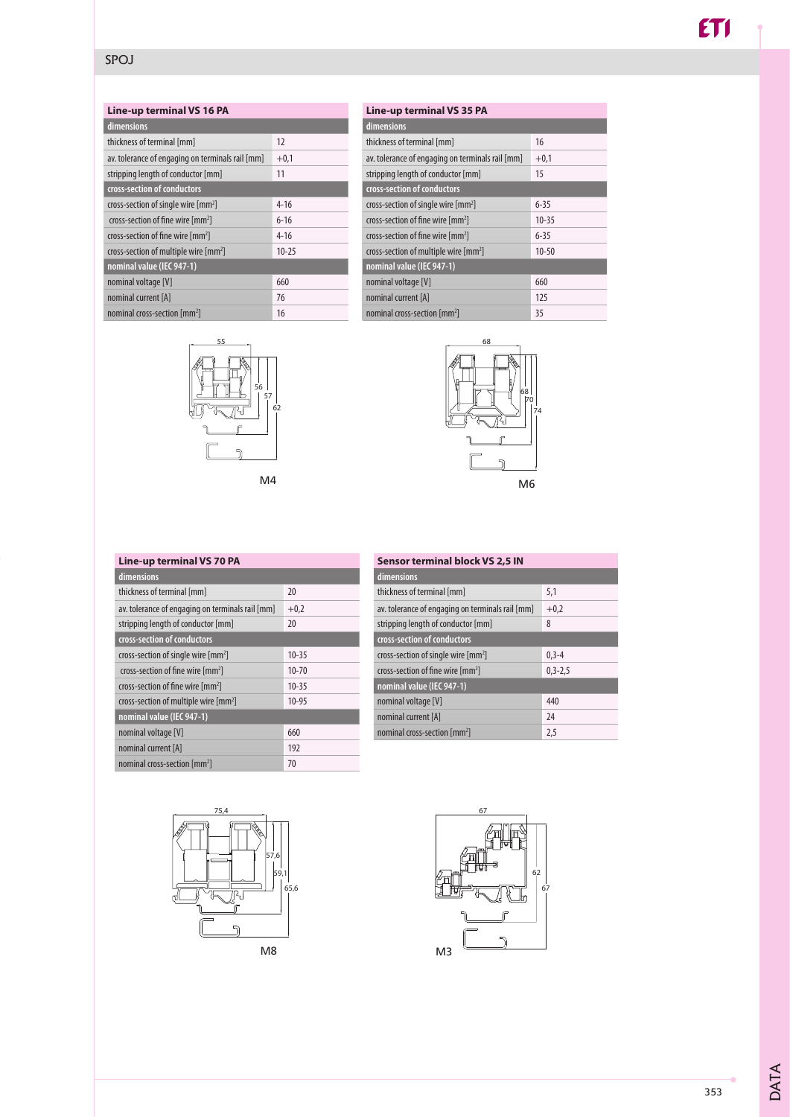### SPOJ

| dimensions                                        |           |  |  |
|---------------------------------------------------|-----------|--|--|
| thickness of terminal [mm]                        | 12        |  |  |
| av. tolerance of engaging on terminals rail [mm]  | $+0.1$    |  |  |
| stripping length of conductor [mm]                | 11        |  |  |
| cross-section of conductors                       |           |  |  |
| cross-section of single wire [mm <sup>2</sup> ]   | $4 - 16$  |  |  |
| cross-section of fine wire [mm <sup>2</sup> ]     | $6 - 16$  |  |  |
| cross-section of fine wire [mm <sup>2</sup> ]     | $4 - 16$  |  |  |
| cross-section of multiple wire [mm <sup>2</sup> ] | $10 - 25$ |  |  |
| nominal value (IEC 947-1)                         |           |  |  |
| nominal voltage [V]                               | 660       |  |  |
| nominal current [A]                               | 76        |  |  |
| nominal cross-section [mm <sup>2</sup> ]          | 16        |  |  |





| Line-up terminal VS 35 PA |  |  |  |
|---------------------------|--|--|--|
|                           |  |  |  |
| 16                        |  |  |  |
| $+0,1$                    |  |  |  |
| 15                        |  |  |  |
|                           |  |  |  |
| $6 - 35$                  |  |  |  |
| $10 - 35$                 |  |  |  |
| $6 - 35$                  |  |  |  |
| $10 - 50$                 |  |  |  |
| nominal value (IEC 947-1) |  |  |  |
| 660                       |  |  |  |
| 125                       |  |  |  |
| 35                        |  |  |  |
|                           |  |  |  |



#### 20  $+0,2$ 20 10-35 10-70 10-35 10-95 660 192 70 **Line-up terminal VS 70 PA dimensions** thickness of terminal [mm] av. tolerance of engaging on terminals rail [mm] stripping length of conductor [mm] **cross-section of conductors** cross-section of single wire [mm<sup>2</sup>] cross-section of fine wire [mm2 ] cross-section of fine wire [mm2 ] cross-section of multiple wire [mm<sup>2</sup>] **nominal value (IEC 947-1)**  nominal voltage [V] nominal current [A]

nominal cross-section [mm<sup>2</sup>]

| <b>Sensor terminal block VS 2,5 IN</b>           |            |  |
|--------------------------------------------------|------------|--|
| dimensions                                       |            |  |
| thickness of terminal [mm]                       | 5,1        |  |
| av. tolerance of engaging on terminals rail [mm] | $+0,2$     |  |
| stripping length of conductor [mm]               | 8          |  |
| cross-section of conductors                      |            |  |
| cross-section of single wire [mm <sup>2</sup> ]  | $0, 3 - 4$ |  |
| cross-section of fine wire [mm <sup>2</sup> ]    | $0,3-2,5$  |  |
| nominal value (IEC 947-1)                        |            |  |
| nominal voltage [V]                              | 440        |  |
| nominal current [A]                              | 24         |  |
| nominal cross-section [mm <sup>2</sup> ]         | 2,5        |  |



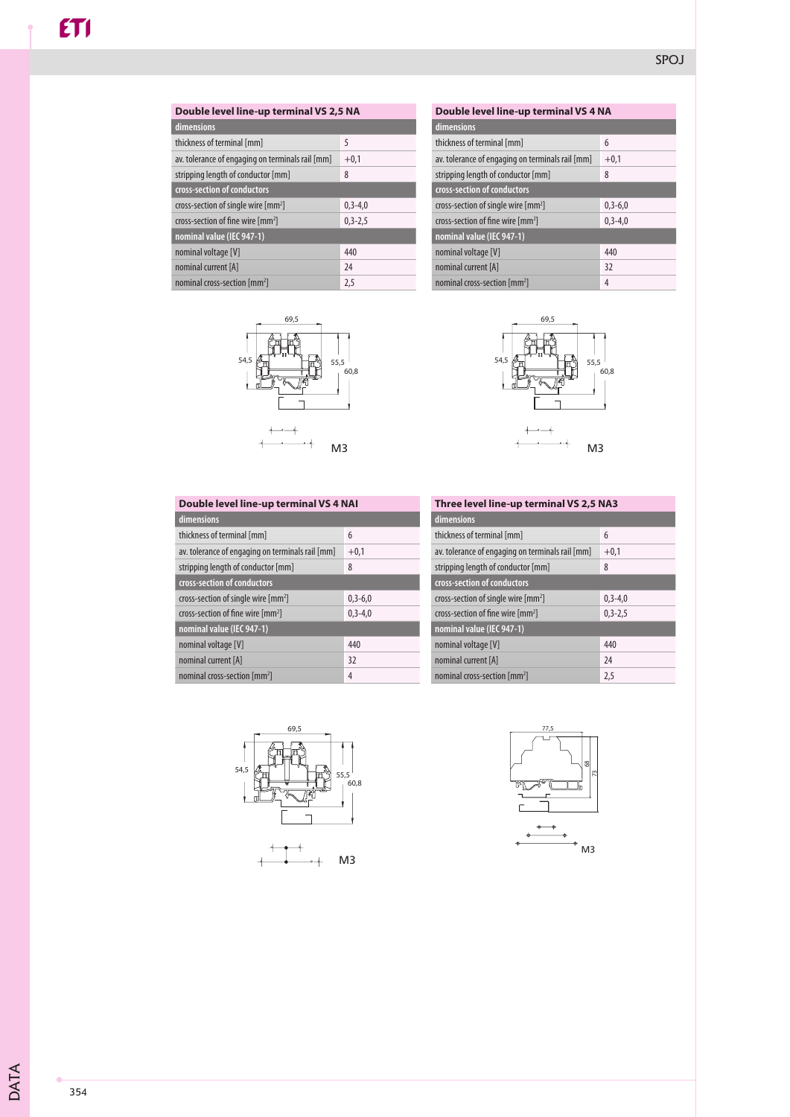| Double level line-up terminal VS 2,5 NA          |             |  |  |
|--------------------------------------------------|-------------|--|--|
| dimensions                                       |             |  |  |
| thickness of terminal [mm]                       | 5           |  |  |
| av. tolerance of engaging on terminals rail [mm] | $+0,1$      |  |  |
| stripping length of conductor [mm]               | 8           |  |  |
| cross-section of conductors                      |             |  |  |
| cross-section of single wire [mm <sup>2</sup> ]  | $0.3 - 4.0$ |  |  |
| cross-section of fine wire [mm <sup>2</sup> ]    | $0,3-2,5$   |  |  |
| nominal value (IEC 947-1)                        |             |  |  |
| nominal voltage [V]                              | 440         |  |  |
| nominal current [A]                              | 24          |  |  |
| nominal cross-section [mm <sup>2</sup> ]         | 2,5         |  |  |



| Double level line-up terminal VS 4 NA             |           |  |
|---------------------------------------------------|-----------|--|
| dimensions                                        |           |  |
| thickness of terminal [mm]                        | 6         |  |
| av. tolerance of engaging on terminals rail [mm]  | $+0,1$    |  |
| stripping length of conductor [mm]                | 8         |  |
| cross-section of conductors                       |           |  |
| cross-section of single wire $\lceil mm^2 \rceil$ | $0,3-6,0$ |  |
| cross-section of fine wire $\lceil mm^2 \rceil$   | $0,3-4,0$ |  |
| nominal value (IEC 947-1)                         |           |  |
| nominal voltage [V]                               | 440       |  |
| nominal current [A]                               | 32        |  |
| nominal cross-section [mm <sup>2</sup> ]          | 4         |  |



| Double level line-up terminal VS 4 NAI            |               |  |
|---------------------------------------------------|---------------|--|
| dimensions                                        |               |  |
| thickness of terminal [mm]                        | 6             |  |
| av. tolerance of engaging on terminals rail [mm]  | $+0,1$        |  |
| stripping length of conductor [mm]                | 8             |  |
| cross-section of conductors                       |               |  |
| cross-section of single wire $\lceil mm^2 \rceil$ | $0,3-6,0$     |  |
| cross-section of fine wire [mm <sup>2</sup> ]     | $0, 3 - 4, 0$ |  |
| nominal value (IEC 947-1)                         |               |  |
| nominal voltage [V]                               | 440           |  |
| nominal current [A]                               | 32            |  |
| nominal cross-section [mm <sup>2</sup> ]          | 4             |  |

| Three level line-up terminal VS 2,5 NA3 |  |
|-----------------------------------------|--|
|                                         |  |
| 6                                       |  |
| $+0,1$                                  |  |
| 8                                       |  |
|                                         |  |
| $0, 3 - 4, 0$                           |  |
| $0, 3 - 2, 5$                           |  |
|                                         |  |
| 440                                     |  |
| 24                                      |  |
| 2,5                                     |  |
|                                         |  |



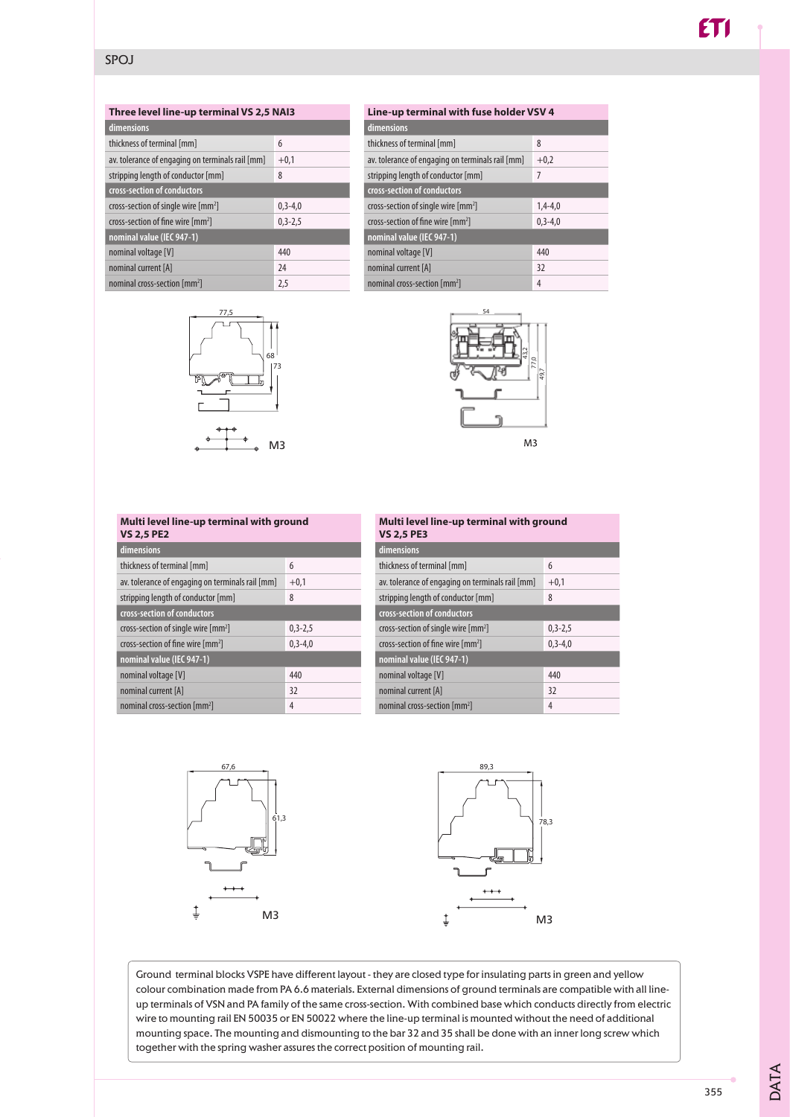### **Three level line-up terminal VS 2,5 NAI3**

| dimensions                                       |           |
|--------------------------------------------------|-----------|
| thickness of terminal [mm]                       | 6         |
| av. tolerance of engaging on terminals rail [mm] | $+0.1$    |
| stripping length of conductor [mm]               | 8         |
| cross-section of conductors                      |           |
| cross-section of single wire [mm <sup>2</sup> ]  | $0,3-4,0$ |
| cross-section of fine wire [mm <sup>2</sup> ]    | $0,3-2,5$ |
| nominal value (IEC 947-1)                        |           |
| nominal voltage [V]                              | 440       |
| nominal current [A]                              | 24        |
| nominal cross-section [mm <sup>2</sup> ]         | 2,5       |



| Line-up terminal with fuse holder VSV 4          |             |
|--------------------------------------------------|-------------|
| dimensions                                       |             |
| thickness of terminal [mm]                       | 8           |
| av. tolerance of engaging on terminals rail [mm] | $+0,2$      |
| stripping length of conductor [mm]               | 7           |
| cross-section of conductors                      |             |
| cross-section of single wire [mm <sup>2</sup> ]  | $1,4-4,0$   |
| cross-section of fine wire [mm <sup>2</sup> ]    | $0.3 - 4.0$ |
| nominal value (IEC 947-1)                        |             |
| nominal voltage [V]                              | 440         |
| nominal current [A]                              | 32          |
| nominal cross-section [mm <sup>2</sup> ]         | 4           |
|                                                  |             |



### **Multi level line-up terminal with ground VS 2,5 PE2**

| dimensions                                       |           |
|--------------------------------------------------|-----------|
| thickness of terminal [mm]                       | 6         |
| av. tolerance of engaging on terminals rail [mm] | $+0,1$    |
| stripping length of conductor [mm]               | 8         |
| cross-section of conductors                      |           |
| cross-section of single wire [mm <sup>2</sup> ]  | $0,3-2,5$ |
| cross-section of fine wire [mm <sup>2</sup> ]    | $0,3-4,0$ |
| nominal value (IEC 947-1)                        |           |
| nominal voltage [V]                              | 440       |
| nominal current [A]                              | 32        |
| nominal cross-section [mm <sup>2</sup> ]         | 4         |

| Multi level line-up terminal with ground<br><b>VS 2,5 PE3</b> |           |
|---------------------------------------------------------------|-----------|
| dimensions                                                    |           |
| thickness of terminal [mm]                                    | 6         |
| av. tolerance of engaging on terminals rail [mm]              | $+0,1$    |
| stripping length of conductor [mm]                            | 8         |
| cross-section of conductors                                   |           |
| cross-section of single wire $\lceil mm^2 \rceil$             | $0,3-2,5$ |
| cross-section of fine wire [mm <sup>2</sup> ]                 | $0,3-4,0$ |
| nominal value (IEC 947-1)                                     |           |
| nominal voltage [V]                                           | 440       |
| nominal current [A]                                           | 32        |
| nominal cross-section [mm <sup>2</sup> ]                      | 4         |



Ground terminal blocks VSPE have different layout - they are closed type for insulating parts in green and yellow colour combination made from PA 6.6 materials. External dimensions of ground terminals are compatible with all lineup terminals of VSN and PA family of the same cross-section. With combined base which conducts directly from electric wire to mounting rail EN 50035 or EN 50022 where the line-up terminal is mounted without the need of additional mounting space. The mounting and dismounting to the bar 32 and 35 shall be done with an inner long screw which together with the spring washer assures the correct position of mounting rail.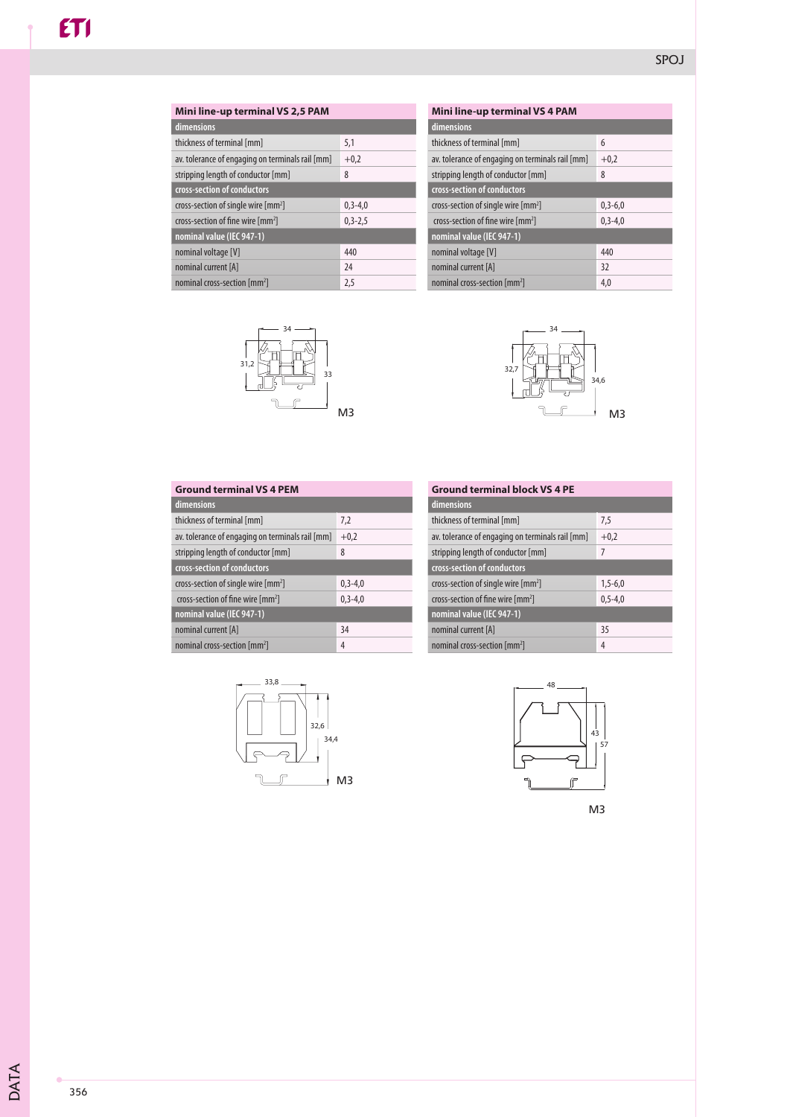| Mini line-up terminal VS 2,5 PAM                 |             |
|--------------------------------------------------|-------------|
| dimensions                                       |             |
| thickness of terminal [mm]                       | 5,1         |
| av. tolerance of engaging on terminals rail [mm] | $+0,2$      |
| stripping length of conductor [mm]               | 8           |
| cross-section of conductors                      |             |
| cross-section of single wire [mm <sup>2</sup> ]  | $0.3 - 4.0$ |
| cross-section of fine wire $\lceil mm^2 \rceil$  | $0,3-2,5$   |
| nominal value (IEC 947-1)                        |             |
| nominal voltage [V]                              | 440         |
| nominal current [A]                              | 24          |
| nominal cross-section [mm <sup>2</sup> ]         | 2,5         |



| Mini line-up terminal VS 4 PAM                   |               |
|--------------------------------------------------|---------------|
| dimensions                                       |               |
| thickness of terminal [mm]                       | 6             |
| av. tolerance of engaging on terminals rail [mm] | $+0.2$        |
| stripping length of conductor [mm]               | 8             |
| cross-section of conductors                      |               |
| cross-section of single wire [mm <sup>2</sup> ]  | $0, 3 - 6, 0$ |
| cross-section of fine wire [mm <sup>2</sup> ]    | $0, 3 - 4, 0$ |
| nominal value (IEC 947-1)                        |               |
| nominal voltage [V]                              | 440           |
| nominal current [A]                              | 32            |
| nominal cross-section [mm <sup>2</sup> ]         | 4,0           |



| <b>Ground terminal VS 4 PEM</b>                  |               |
|--------------------------------------------------|---------------|
| dimensions                                       |               |
| thickness of terminal [mm]                       | 7,2           |
| av. tolerance of engaging on terminals rail [mm] | $+0,2$        |
| stripping length of conductor [mm]               | 8             |
| cross-section of conductors                      |               |
| cross-section of single wire [mm <sup>2</sup> ]  | $0.3 - 4.0$   |
| cross-section of fine wire $\text{[mm]}$         | $0, 3 - 4, 0$ |
| nominal value (IEC 947-1)                        |               |
| nominal current [A]                              | 34            |
| nominal cross-section [mm <sup>2</sup> ]         | 4             |

| <b>Ground terminal block VS 4 PE</b>             |             |
|--------------------------------------------------|-------------|
| dimensions                                       |             |
| thickness of terminal [mm]                       | 7,5         |
| av. tolerance of engaging on terminals rail [mm] | $+0,2$      |
| stripping length of conductor [mm]               | 7           |
| cross-section of conductors                      |             |
| cross-section of single wire [mm <sup>2</sup> ]  | $1,5-6,0$   |
| cross-section of fine wire [mm <sup>2</sup> ]    | $0.5 - 4.0$ |
| nominal value (IEC 947-1)                        |             |
| nominal current [A]                              | 35          |
| nominal cross-section [mm <sup>2</sup> ]         | 4           |





M3

DATA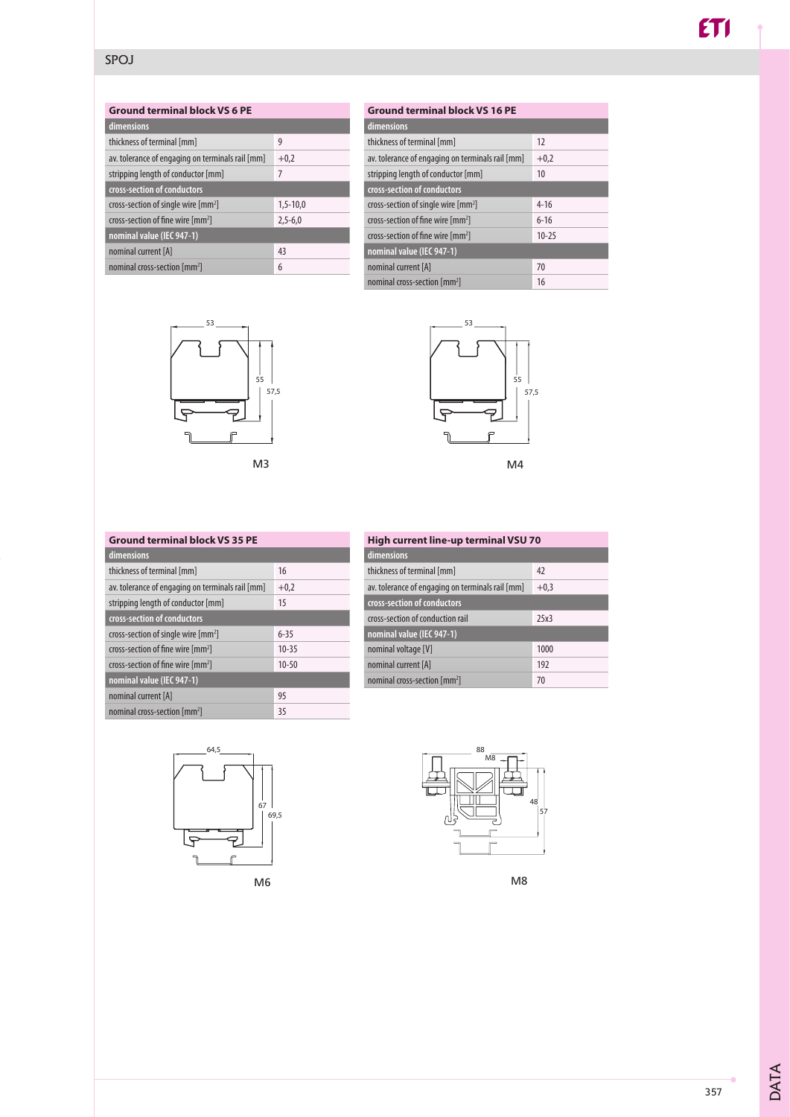## **Ground terminal block VS 6 PE**

| dimensions                                        |            |
|---------------------------------------------------|------------|
| thickness of terminal [mm]                        | 9          |
| av. tolerance of engaging on terminals rail [mm]  | $+0,2$     |
| stripping length of conductor [mm]                | 7          |
| cross-section of conductors                       |            |
| cross-section of single wire $\lceil mm^2 \rceil$ | $1,5-10,0$ |
| cross-section of fine wire [mm <sup>2</sup> ]     | $2,5-6,0$  |
| nominal value (IEC 947-1)                         |            |
| nominal current [A]                               | 43         |
| nominal cross-section [mm <sup>2</sup> ]          | 6          |



#### 12  $+0,2$ 10 4-16 6-16 10-25 70 16 **Ground terminal block VS 16 PE dimensions** thickness of terminal [mm] av. tolerance of engaging on terminals rail [mm] stripping length of conductor [mm] **cross-section of conductors** cross-section of single wire [mm2 ] cross-section of fine wire [mm<sup>2</sup>] cross-section of fine wire [mm<sup>2</sup>] **nominal value (IEC 947-1)**  nominal current [A] nominal cross-section [mm<sup>2</sup>]



#### **Ground terminal block VS 35 PE dimensions**

| umensions                                        |           |
|--------------------------------------------------|-----------|
| thickness of terminal [mm]                       | 16        |
| av. tolerance of engaging on terminals rail [mm] | $+0,2$    |
| stripping length of conductor [mm]               | 15        |
| cross-section of conductors                      |           |
| cross-section of single wire [mm <sup>2</sup> ]  | $6 - 35$  |
| cross-section of fine wire [mm <sup>2</sup> ]    | $10 - 35$ |
| cross-section of fine wire [mm <sup>2</sup> ]    | $10 - 50$ |
| nominal value (IEC 947-1)                        |           |
| nominal current [A]                              | 95        |
| nominal cross-section [mm <sup>2</sup> ]         | 35        |

| High current line-up terminal VSU 70 |  |
|--------------------------------------|--|
| dimensions                           |  |
| 42                                   |  |
| $+0.3$                               |  |
|                                      |  |
| 25x3                                 |  |
|                                      |  |
| 1000                                 |  |
| 192                                  |  |
| 70                                   |  |
|                                      |  |





M8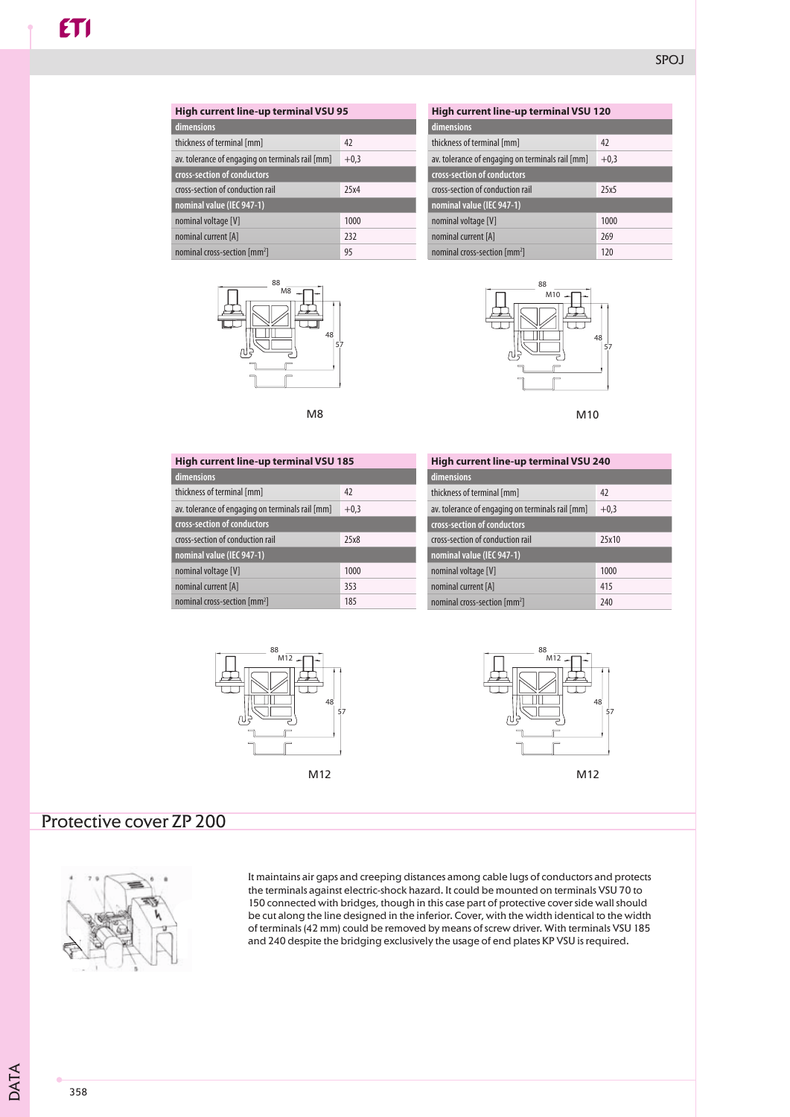| High current line-up terminal VSU 95             |        |
|--------------------------------------------------|--------|
| dimensions                                       |        |
| thickness of terminal [mm]                       | 42     |
| av. tolerance of engaging on terminals rail [mm] | $+0,3$ |
| cross-section of conductors                      |        |
| cross-section of conduction rail                 | 75x4   |
| nominal value (IEC 947-1)                        |        |
| nominal voltage [V]                              | 1000   |
| nominal current [A]                              | 232    |
| nominal cross-section [mm <sup>2</sup> ]         | 95     |





| High current line-up terminal VSU 120            |        |  |
|--------------------------------------------------|--------|--|
| dimensions                                       |        |  |
| thickness of terminal [mm]                       | 47     |  |
| av. tolerance of engaging on terminals rail [mm] | $+0.3$ |  |
| cross-section of conductors                      |        |  |
| cross-section of conduction rail                 | 25x5   |  |
| nominal value (IEC 947-1)                        |        |  |
| nominal voltage [V]                              | 1000   |  |
| nominal current [A]                              | 269    |  |
| nominal cross-section [mm <sup>2</sup> ]         | 120    |  |



M10

| High current line-up terminal VSU 185            |        |  |
|--------------------------------------------------|--------|--|
| dimensions                                       |        |  |
| thickness of terminal [mm]                       | 42     |  |
| av. tolerance of engaging on terminals rail [mm] | $+0,3$ |  |
| cross-section of conductors                      |        |  |
| cross-section of conduction rail                 | 25x8   |  |
| nominal value (IEC 947-1)                        |        |  |
| nominal voltage [V]                              | 1000   |  |
| nominal current [A]                              | 353    |  |
| nominal cross-section [mm <sup>2</sup> ]         | 185    |  |

| High current line-up terminal VSU 240            |        |  |
|--------------------------------------------------|--------|--|
| dimensions                                       |        |  |
| thickness of terminal [mm]                       | 42     |  |
| av. tolerance of engaging on terminals rail [mm] | $+0,3$ |  |
| cross-section of conductors                      |        |  |
| cross-section of conduction rail                 | 25x10  |  |
| nominal value (IEC 947-1)                        |        |  |
| nominal voltage [V]                              | 1000   |  |
| nominal current [A]                              | 415    |  |
| nominal cross-section [mm <sup>2</sup> ]         | 240    |  |





# Protective cover ZP 200



It maintains air gaps and creeping distances among cable lugs of conductors and protects the terminals against electric-shock hazard. It could be mounted on terminals VSU 70 to 150 connected with bridges, though in this case part of protective cover side wall should be cut along the line designed in the inferior. Cover, with the width identical to the width of terminals (42 mm) could be removed by means of screw driver. With terminals VSU 185 and 240 despite the bridging exclusively the usage of end plates KP VSU is required.

DATA